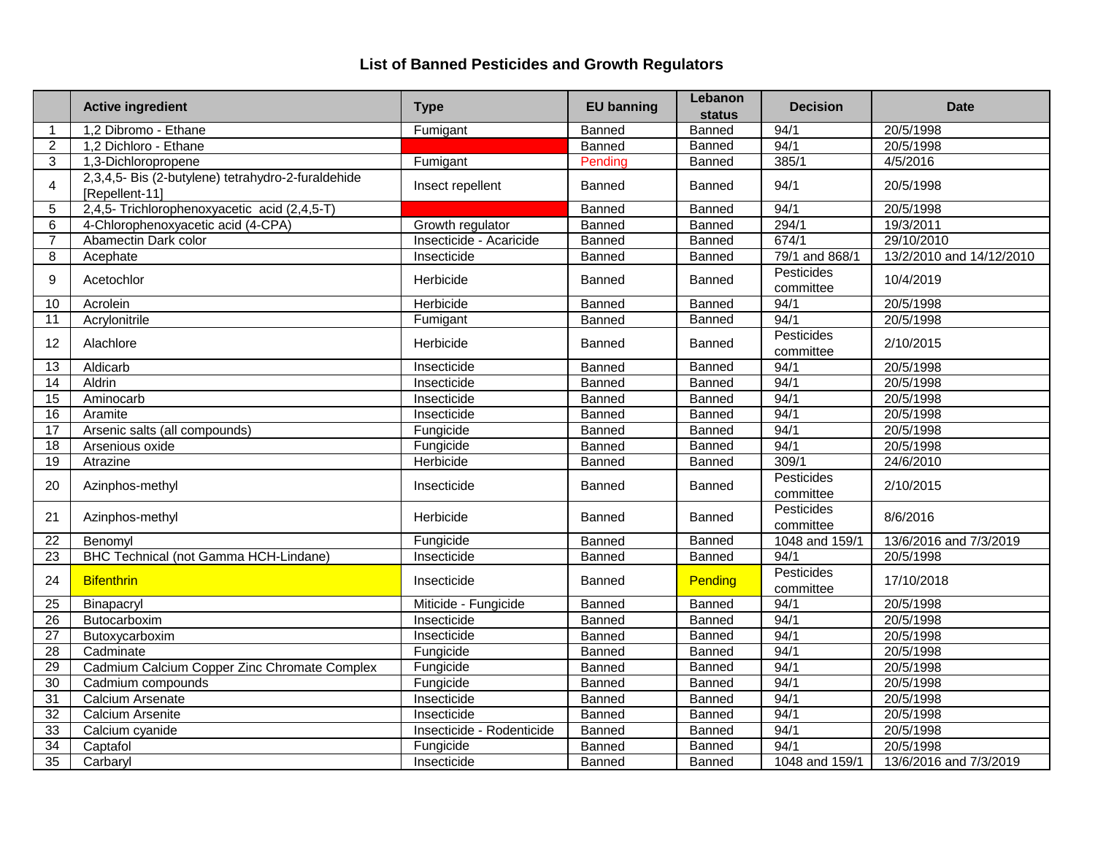|                 | <b>Active ingredient</b>                                             | <b>Type</b>               | <b>EU banning</b> | Lebanon<br><b>status</b> | <b>Decision</b>         | <b>Date</b>              |
|-----------------|----------------------------------------------------------------------|---------------------------|-------------------|--------------------------|-------------------------|--------------------------|
| 1               | 1,2 Dibromo - Ethane                                                 | Fumigant                  | Banned            | <b>Banned</b>            | 94/1                    | 20/5/1998                |
| $\overline{2}$  | 1,2 Dichloro - Ethane                                                |                           | Banned            | Banned                   | 94/1                    | 20/5/1998                |
| 3               | 1,3-Dichloropropene                                                  | Fumigant                  | Pending           | <b>Banned</b>            | 385/1                   | 4/5/2016                 |
| 4               | 2,3,4,5- Bis (2-butylene) tetrahydro-2-furaldehide<br>[Repellent-11] | Insect repellent          | Banned            | Banned                   | 94/1                    | 20/5/1998                |
| 5               | 2,4,5- Trichlorophenoxyacetic acid (2,4,5-T)                         |                           | Banned            | Banned                   | 94/1                    | 20/5/1998                |
| 6               | 4-Chlorophenoxyacetic acid (4-CPA)                                   | Growth regulator          | Banned            | Banned                   | 294/1                   | 19/3/2011                |
| 7               | Abamectin Dark color                                                 | Insecticide - Acaricide   | Banned            | Banned                   | 674/1                   | 29/10/2010               |
| 8               | Acephate                                                             | Insecticide               | Banned            | Banned                   | 79/1 and 868/1          | 13/2/2010 and 14/12/2010 |
| 9               | Acetochlor                                                           | Herbicide                 | Banned            | Banned                   | Pesticides<br>committee | 10/4/2019                |
| 10              | Acrolein                                                             | Herbicide                 | Banned            | Banned                   | 94/1                    | 20/5/1998                |
| 11              | Acrylonitrile                                                        | Fumigant                  | Banned            | Banned                   | 94/1                    | 20/5/1998                |
| 12              | Alachlore                                                            | Herbicide                 | Banned            | <b>Banned</b>            | Pesticides<br>committee | 2/10/2015                |
| 13              | Aldicarb                                                             | Insecticide               | Banned            | Banned                   | 94/1                    | 20/5/1998                |
| 14              | Aldrin                                                               | Insecticide               | Banned            | Banned                   | 94/1                    | 20/5/1998                |
| $\overline{15}$ | Aminocarb                                                            | Insecticide               | Banned            | <b>Banned</b>            | 94/1                    | 20/5/1998                |
| 16              | Aramite                                                              | Insecticide               | Banned            | Banned                   | 94/1                    | 20/5/1998                |
| 17              | Arsenic salts (all compounds)                                        | Fungicide                 | Banned            | <b>Banned</b>            | 94/1                    | 20/5/1998                |
| 18              | Arsenious oxide                                                      | Fungicide                 | <b>Banned</b>     | Banned                   | 94/1                    | 20/5/1998                |
| $\overline{19}$ | Atrazine                                                             | Herbicide                 | Banned            | <b>Banned</b>            | 309/1                   | 24/6/2010                |
| 20              | Azinphos-methyl                                                      | Insecticide               | Banned            | <b>Banned</b>            | Pesticides<br>committee | 2/10/2015                |
| 21              | Azinphos-methyl                                                      | Herbicide                 | Banned            | Banned                   | Pesticides<br>committee | 8/6/2016                 |
| 22              | Benomyl                                                              | Fungicide                 | Banned            | Banned                   | 1048 and 159/1          | 13/6/2016 and 7/3/2019   |
| $\overline{23}$ | BHC Technical (not Gamma HCH-Lindane)                                | Insecticide               | Banned            | Banned                   | 94/1                    | 20/5/1998                |
| 24              | <b>Bifenthrin</b>                                                    | Insecticide               | Banned            | Pending                  | Pesticides<br>committee | 17/10/2018               |
| 25              | Binapacryl                                                           | Miticide - Fungicide      | Banned            | <b>Banned</b>            | 94/1                    | 20/5/1998                |
| $\overline{26}$ | Butocarboxim                                                         | Insecticide               | Banned            | Banned                   | 94/1                    | 20/5/1998                |
| $\overline{27}$ | Butoxycarboxim                                                       | Insecticide               | Banned            | Banned                   | 94/1                    | 20/5/1998                |
| $\overline{28}$ | Cadminate                                                            | Fungicide                 | Banned            | Banned                   | 94/1                    | 20/5/1998                |
| 29              | Cadmium Calcium Copper Zinc Chromate Complex                         | Fungicide                 | Banned            | Banned                   | 94/1                    | 20/5/1998                |
| 30              | Cadmium compounds                                                    | Fungicide                 | Banned            | Banned                   | 94/1                    | 20/5/1998                |
| $\overline{31}$ | Calcium Arsenate                                                     | Insecticide               | Banned            | Banned                   | 94/1                    | 20/5/1998                |
| $\overline{32}$ | Calcium Arsenite                                                     | Insecticide               | Banned            | Banned                   | 94/1                    | 20/5/1998                |
| 33              | Calcium cyanide                                                      | Insecticide - Rodenticide | <b>Banned</b>     | Banned                   | 94/1                    | 20/5/1998                |
| $\overline{34}$ | Captafol                                                             | Fungicide                 | Banned            | <b>Banned</b>            | 94/1                    | 20/5/1998                |
| 35              | Carbaryl                                                             | Insecticide               | Banned            | Banned                   | 1048 and 159/1          | 13/6/2016 and 7/3/2019   |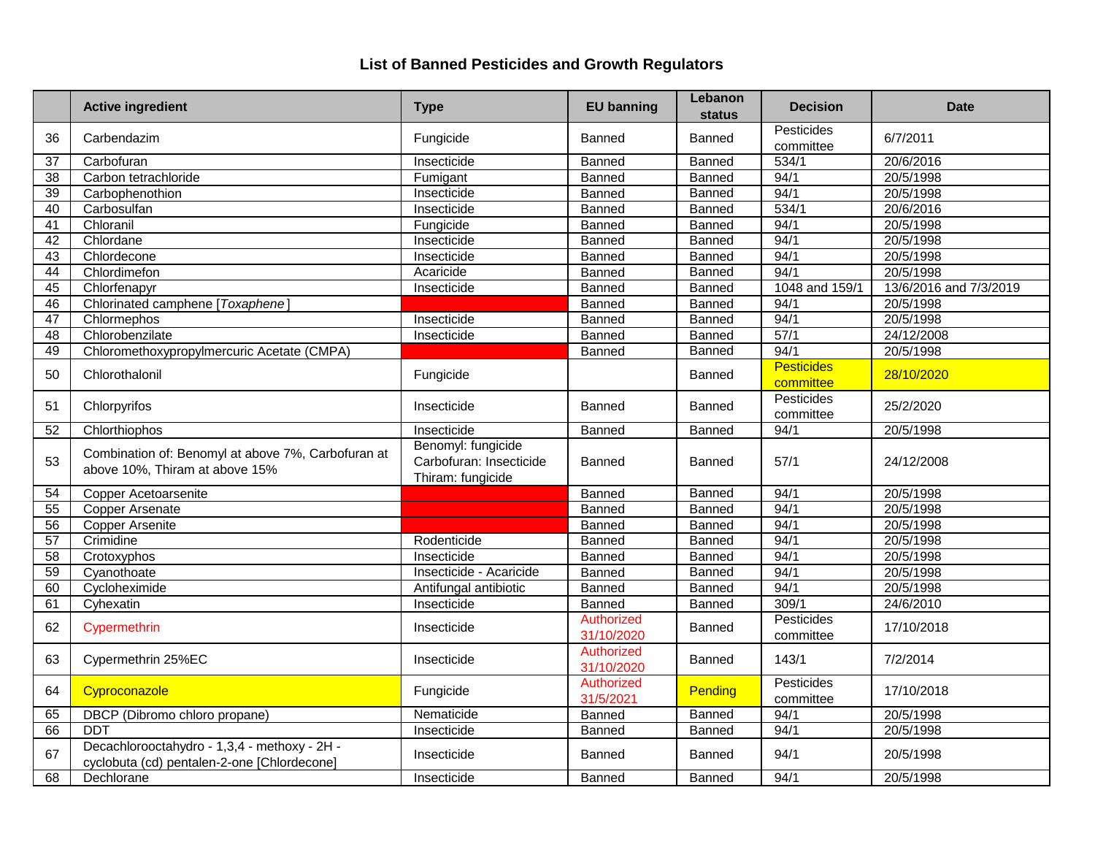|                 | <b>Active ingredient</b>                                                                    | <b>Type</b>                                                        | <b>EU banning</b>        | Lebanon<br>status | <b>Decision</b>                | <b>Date</b>            |
|-----------------|---------------------------------------------------------------------------------------------|--------------------------------------------------------------------|--------------------------|-------------------|--------------------------------|------------------------|
| 36              | Carbendazim                                                                                 | Fungicide                                                          | <b>Banned</b>            | Banned            | Pesticides<br>committee        | 6/7/2011               |
| 37              | Carbofuran                                                                                  | Insecticide                                                        | <b>Banned</b>            | Banned            | 534/1                          | 20/6/2016              |
| 38              | Carbon tetrachloride                                                                        | Fumigant                                                           | Banned                   | Banned            | 94/1                           | 20/5/1998              |
| $\overline{39}$ | Carbophenothion                                                                             | Insecticide                                                        | Banned                   | Banned            | 94/1                           | 20/5/1998              |
| 40              | Carbosulfan                                                                                 | Insecticide                                                        | Banned                   | Banned            | 534/1                          | 20/6/2016              |
| $\overline{41}$ | Chloranil                                                                                   | Fungicide                                                          | Banned                   | Banned            | 94/1                           | 20/5/1998              |
| 42              | Chlordane                                                                                   | Insecticide                                                        | Banned                   | Banned            | 94/1                           | 20/5/1998              |
| $\overline{43}$ | Chlordecone                                                                                 | Insecticide                                                        | Banned                   | Banned            | 94/1                           | 20/5/1998              |
| 44              | Chlordimefon                                                                                | Acaricide                                                          | Banned                   | Banned            | 94/1                           | 20/5/1998              |
| 45              | Chlorfenapyr                                                                                | Insecticide                                                        | Banned                   | Banned            | 1048 and 159/1                 | 13/6/2016 and 7/3/2019 |
| 46              | Chlorinated camphene [Toxaphene]                                                            |                                                                    | Banned                   | Banned            | 94/1                           | 20/5/1998              |
| 47              | Chlormephos                                                                                 | Insecticide                                                        | Banned                   | Banned            | 94/1                           | 20/5/1998              |
| 48              | Chlorobenzilate                                                                             | Insecticide                                                        | Banned                   | Banned            | 57/1                           | 24/12/2008             |
| 49              | Chloromethoxypropylmercuric Acetate (CMPA)                                                  |                                                                    | Banned                   | Banned            | 94/1                           | 20/5/1998              |
| 50              | Chlorothalonil                                                                              | Fungicide                                                          |                          | Banned            | <b>Pesticides</b><br>committee | 28/10/2020             |
| 51              | Chlorpyrifos                                                                                | Insecticide                                                        | Banned                   | Banned            | Pesticides<br>committee        | 25/2/2020              |
| 52              | Chlorthiophos                                                                               | Insecticide                                                        | <b>Banned</b>            | Banned            | 94/1                           | 20/5/1998              |
| 53              | Combination of: Benomyl at above 7%, Carbofuran at<br>above 10%, Thiram at above 15%        | Benomyl: fungicide<br>Carbofuran: Insecticide<br>Thiram: fungicide | Banned                   | Banned            | 57/1                           | 24/12/2008             |
| 54              | Copper Acetoarsenite                                                                        |                                                                    | Banned                   | <b>Banned</b>     | 94/1                           | 20/5/1998              |
| 55              | <b>Copper Arsenate</b>                                                                      |                                                                    | Banned                   | <b>Banned</b>     | 94/1                           | 20/5/1998              |
| $\overline{56}$ | <b>Copper Arsenite</b>                                                                      |                                                                    | <b>Banned</b>            | <b>Banned</b>     | 94/1                           | 20/5/1998              |
| $\overline{57}$ | Crimidine                                                                                   | Rodenticide                                                        | Banned                   | Banned            | 94/1                           | 20/5/1998              |
| 58              | Crotoxyphos                                                                                 | Insecticide                                                        | Banned                   | Banned            | 94/1                           | 20/5/1998              |
| 59              | Cyanothoate                                                                                 | Insecticide - Acaricide                                            | Banned                   | Banned            | 94/1                           | 20/5/1998              |
| 60              | Cycloheximide                                                                               | Antifungal antibiotic                                              | Banned                   | Banned            | 94/1                           | 20/5/1998              |
| 61              | Cyhexatin                                                                                   | Insecticide                                                        | Banned                   | Banned            | 309/1                          | 24/6/2010              |
| 62              | Cypermethrin                                                                                | Insecticide                                                        | Authorized<br>31/10/2020 | Banned            | Pesticides<br>committee        | 17/10/2018             |
| 63              | Cypermethrin 25%EC                                                                          | Insecticide                                                        | Authorized<br>31/10/2020 | Banned            | 143/1                          | 7/2/2014               |
| 64              | Cyproconazole                                                                               | Fungicide                                                          | Authorized<br>31/5/2021  | Pending           | Pesticides<br>committee        | 17/10/2018             |
| 65              | DBCP (Dibromo chloro propane)                                                               | Nematicide                                                         | Banned                   | Banned            | 94/1                           | 20/5/1998              |
| 66              | <b>DDT</b>                                                                                  | Insecticide                                                        | Banned                   | <b>Banned</b>     | 94/1                           | 20/5/1998              |
| 67              | Decachlorooctahydro - 1,3,4 - methoxy - 2H -<br>cyclobuta (cd) pentalen-2-one [Chlordecone] | Insecticide                                                        | <b>Banned</b>            | <b>Banned</b>     | 94/1                           | 20/5/1998              |
| 68              | Dechlorane                                                                                  | Insecticide                                                        | <b>Banned</b>            | Banned            | 94/1                           | 20/5/1998              |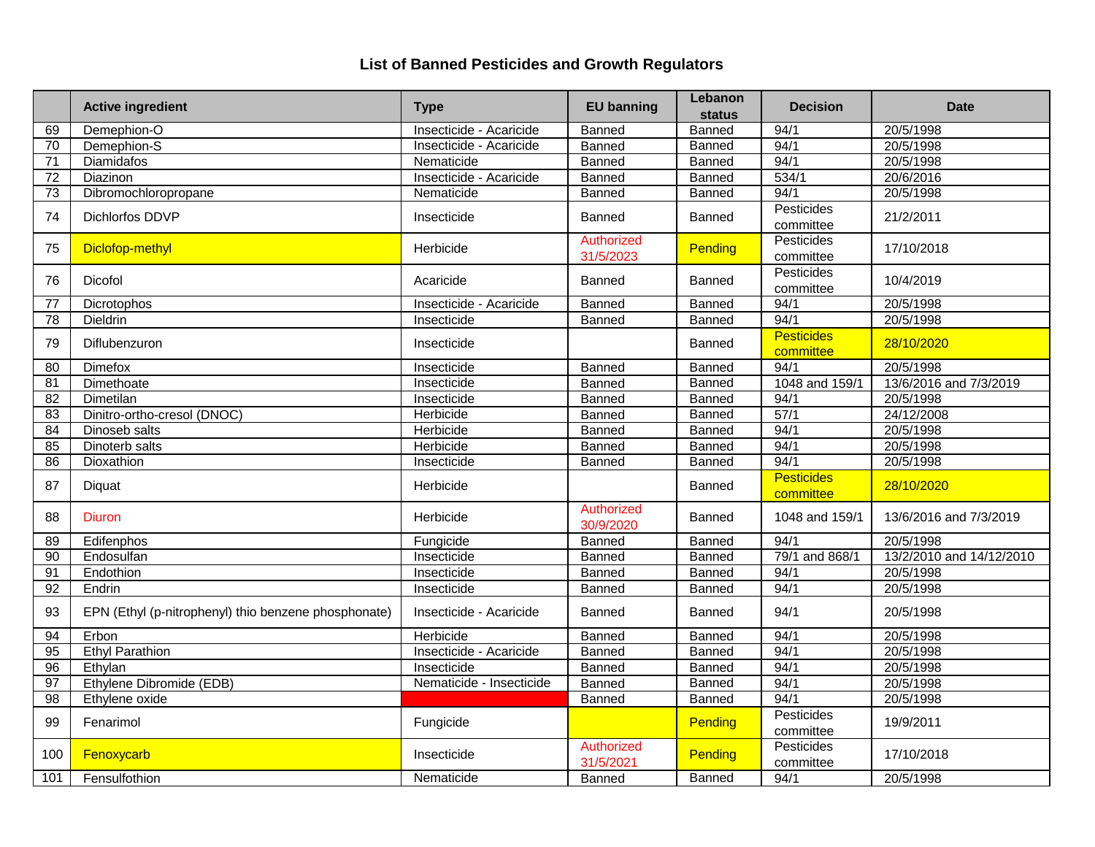|                 | <b>Active ingredient</b>                             | <b>Type</b>              | <b>EU banning</b>       | Lebanon<br>status | <b>Decision</b>                | <b>Date</b>              |
|-----------------|------------------------------------------------------|--------------------------|-------------------------|-------------------|--------------------------------|--------------------------|
| 69              | Demephion-O                                          | Insecticide - Acaricide  | Banned                  | Banned            | 94/1                           | 20/5/1998                |
| 70              | Demephion-S                                          | Insecticide - Acaricide  | Banned                  | Banned            | 94/1                           | 20/5/1998                |
| $\overline{71}$ | <b>Diamidafos</b>                                    | Nematicide               | Banned                  | <b>Banned</b>     | 94/1                           | 20/5/1998                |
| $\overline{72}$ | Diazinon                                             | Insecticide - Acaricide  | Banned                  | Banned            | 534/1                          | 20/6/2016                |
| 73              | Dibromochloropropane                                 | Nematicide               | Banned                  | Banned            | 94/1                           | 20/5/1998                |
| 74              | Dichlorfos DDVP                                      | Insecticide              | Banned                  | Banned            | <b>Pesticides</b><br>committee | 21/2/2011                |
| 75              | Diclofop-methyl                                      | Herbicide                | Authorized<br>31/5/2023 | Pending           | Pesticides<br>committee        | 17/10/2018               |
| 76              | Dicofol                                              | Acaricide                | <b>Banned</b>           | Banned            | Pesticides<br>committee        | 10/4/2019                |
| 77              | Dicrotophos                                          | Insecticide - Acaricide  | <b>Banned</b>           | <b>Banned</b>     | 94/1                           | 20/5/1998                |
| 78              | Dieldrin                                             | Insecticide              | Banned                  | Banned            | 94/1                           | 20/5/1998                |
| 79              | Diflubenzuron                                        | Insecticide              |                         | <b>Banned</b>     | <b>Pesticides</b><br>committee | 28/10/2020               |
| $\overline{80}$ | Dimefox                                              | Insecticide              | Banned                  | Banned            | 94/1                           | 20/5/1998                |
| $\overline{81}$ | Dimethoate                                           | Insecticide              | <b>Banned</b>           | <b>Banned</b>     | 1048 and 159/1                 | 13/6/2016 and 7/3/2019   |
| 82              | Dimetilan                                            | Insecticide              | Banned                  | Banned            | 94/1                           | 20/5/1998                |
| $\overline{83}$ | Dinitro-ortho-cresol (DNOC)                          | Herbicide                | <b>Banned</b>           | Banned            | 57/1                           | 24/12/2008               |
| 84              | Dinoseb salts                                        | Herbicide                | Banned                  | Banned            | 94/1                           | 20/5/1998                |
| 85              | Dinoterb salts                                       | Herbicide                | Banned                  | Banned            | 94/1                           | 20/5/1998                |
| 86              | Dioxathion                                           | Insecticide              | <b>Banned</b>           | Banned            | 94/1                           | 20/5/1998                |
| 87              | Diquat                                               | Herbicide                |                         | Banned            | <b>Pesticides</b><br>committee | 28/10/2020               |
| 88              | <b>Diuron</b>                                        | Herbicide                | Authorized<br>30/9/2020 | Banned            | 1048 and 159/1                 | 13/6/2016 and 7/3/2019   |
| 89              | Edifenphos                                           | Fungicide                | <b>Banned</b>           | Banned            | 94/1                           | 20/5/1998                |
| 90              | Endosulfan                                           | Insecticide              | Banned                  | <b>Banned</b>     | 79/1 and 868/1                 | 13/2/2010 and 14/12/2010 |
| 91              | Endothion                                            | Insecticide              | <b>Banned</b>           | Banned            | 94/1                           | 20/5/1998                |
| 92              | Endrin                                               | Insecticide              | Banned                  | Banned            | 94/1                           | 20/5/1998                |
| 93              | EPN (Ethyl (p-nitrophenyl) thio benzene phosphonate) | Insecticide - Acaricide  | Banned                  | Banned            | 94/1                           | 20/5/1998                |
| 94              | Erbon                                                | Herbicide                | Banned                  | Banned            | 94/1                           | 20/5/1998                |
| 95              | <b>Ethyl Parathion</b>                               | Insecticide - Acaricide  | Banned                  | Banned            | 94/1                           | 20/5/1998                |
| 96              | Ethylan                                              | Insecticide              | Banned                  | Banned            | 94/1                           | 20/5/1998                |
| 97              | Ethylene Dibromide (EDB)                             | Nematicide - Insecticide | <b>Banned</b>           | <b>Banned</b>     | 94/1                           | 20/5/1998                |
| $\overline{98}$ | Ethylene oxide                                       |                          | Banned                  | <b>Banned</b>     | 94/1                           | 20/5/1998                |
| 99              | Fenarimol                                            | Fungicide                |                         | Pending           | Pesticides<br>committee        | 19/9/2011                |
| 100             | Fenoxycarb                                           | Insecticide              | Authorized<br>31/5/2021 | Pending           | Pesticides<br>committee        | 17/10/2018               |
| 101             | Fensulfothion                                        | Nematicide               | <b>Banned</b>           | Banned            | 94/1                           | 20/5/1998                |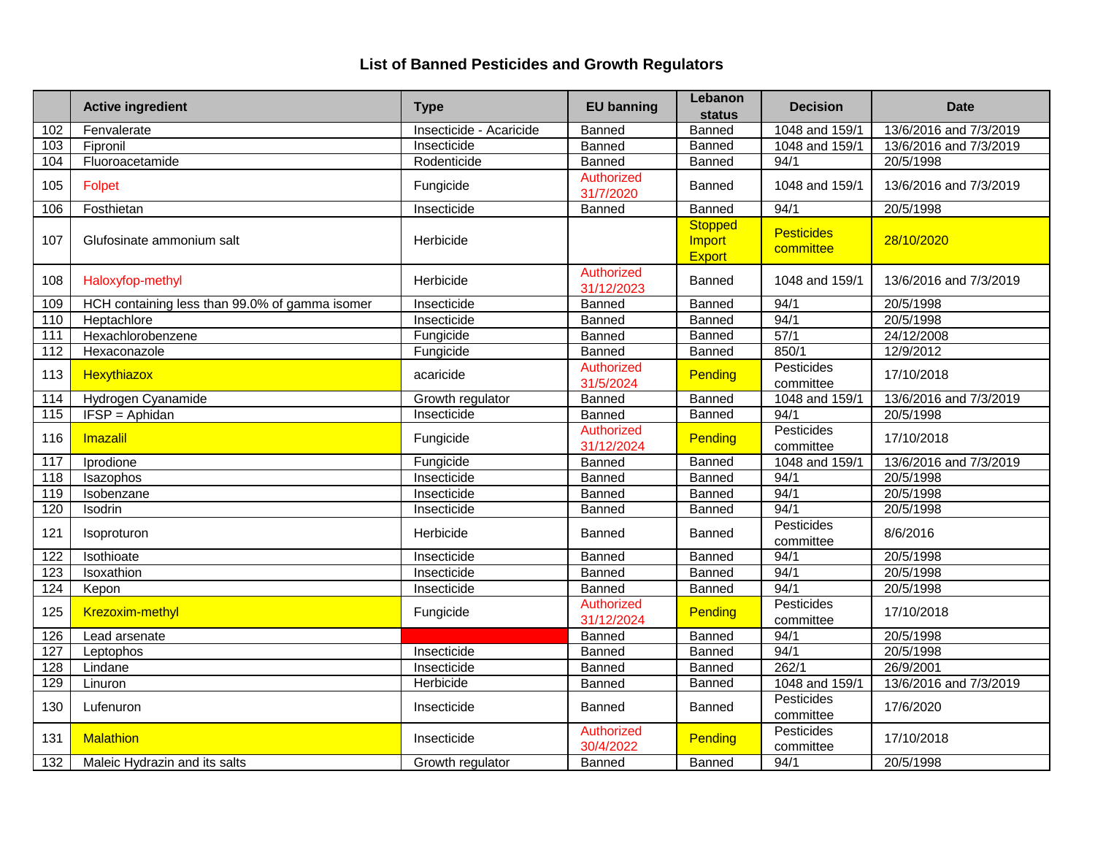|     | <b>Active ingredient</b>                       | <b>Type</b>             | <b>EU banning</b>               | Lebanon<br><b>status</b>                  | <b>Decision</b>                | <b>Date</b>            |
|-----|------------------------------------------------|-------------------------|---------------------------------|-------------------------------------------|--------------------------------|------------------------|
| 102 | Fenvalerate                                    | Insecticide - Acaricide | Banned                          | Banned                                    | 1048 and 159/1                 | 13/6/2016 and 7/3/2019 |
| 103 | Fipronil                                       | Insecticide             | Banned                          | <b>Banned</b>                             | 1048 and 159/1                 | 13/6/2016 and 7/3/2019 |
| 104 | Fluoroacetamide                                | Rodenticide             | Banned                          | Banned                                    | 94/1                           | 20/5/1998              |
| 105 | Folpet                                         | Fungicide               | Authorized<br>31/7/2020         | Banned                                    | 1048 and 159/1                 | 13/6/2016 and 7/3/2019 |
| 106 | Fosthietan                                     | Insecticide             | <b>Banned</b>                   | Banned                                    | 94/1                           | 20/5/1998              |
| 107 | Glufosinate ammonium salt                      | Herbicide               |                                 | <b>Stopped</b><br>Import<br><b>Export</b> | <b>Pesticides</b><br>committee | 28/10/2020             |
| 108 | Haloxyfop-methyl                               | Herbicide               | Authorized<br>31/12/2023        | Banned                                    | 1048 and 159/1                 | 13/6/2016 and 7/3/2019 |
| 109 | HCH containing less than 99.0% of gamma isomer | Insecticide             | Banned                          | Banned                                    | 94/1                           | 20/5/1998              |
| 110 | Heptachlore                                    | Insecticide             | Banned                          | <b>Banned</b>                             | 94/1                           | 20/5/1998              |
| 111 | Hexachlorobenzene                              | Fungicide               | Banned                          | Banned                                    | 57/1                           | 24/12/2008             |
| 112 | Hexaconazole                                   | Fungicide               | Banned                          | Banned                                    | 850/1                          | 12/9/2012              |
| 113 | <b>Hexythiazox</b>                             | acaricide               | Authorized<br>31/5/2024         | Pending                                   | Pesticides<br>committee        | 17/10/2018             |
| 114 | Hydrogen Cyanamide                             | Growth regulator        | Banned                          | <b>Banned</b>                             | 1048 and 159/1                 | 13/6/2016 and 7/3/2019 |
| 115 | IFSP = Aphidan                                 | Insecticide             | <b>Banned</b>                   | <b>Banned</b>                             | 94/1                           | 20/5/1998              |
| 116 | Imazalil                                       | Fungicide               | Authorized<br>31/12/2024        | Pending                                   | Pesticides<br>committee        | 17/10/2018             |
| 117 | Iprodione                                      | Fungicide               | Banned                          | Banned                                    | 1048 and 159/1                 | 13/6/2016 and 7/3/2019 |
| 118 | Isazophos                                      | Insecticide             | Banned                          | <b>Banned</b>                             | 94/1                           | 20/5/1998              |
| 119 | Isobenzane                                     | Insecticide             | Banned                          | Banned                                    | 94/1                           | 20/5/1998              |
| 120 | Isodrin                                        | Insecticide             | Banned                          | Banned                                    | 94/1                           | 20/5/1998              |
| 121 | Isoproturon                                    | Herbicide               | Banned                          | Banned                                    | Pesticides<br>committee        | 8/6/2016               |
| 122 | Isothioate                                     | Insecticide             | Banned                          | Banned                                    | 94/1                           | 20/5/1998              |
| 123 | Isoxathion                                     | Insecticide             | <b>Banned</b>                   | <b>Banned</b>                             | 94/1                           | 20/5/1998              |
| 124 | Kepon                                          | Insecticide             | Banned                          | Banned                                    | 94/1                           | 20/5/1998              |
| 125 | <b>Krezoxim-methyl</b>                         | Fungicide               | <b>Authorized</b><br>31/12/2024 | Pending                                   | Pesticides<br>committee        | 17/10/2018             |
| 126 | Lead arsenate                                  |                         | Banned                          | Banned                                    | 94/1                           | 20/5/1998              |
| 127 | Leptophos                                      | Insecticide             | Banned                          | Banned                                    | 94/1                           | 20/5/1998              |
| 128 | Lindane                                        | Insecticide             | Banned                          | Banned                                    | 262/1                          | 26/9/2001              |
| 129 | Linuron                                        | Herbicide               | Banned                          | Banned                                    | 1048 and 159/1                 | 13/6/2016 and 7/3/2019 |
| 130 | Lufenuron                                      | Insecticide             | Banned                          | Banned                                    | Pesticides<br>committee        | 17/6/2020              |
| 131 | <b>Malathion</b>                               | Insecticide             | Authorized<br>30/4/2022         | <b>Pending</b>                            | Pesticides<br>committee        | 17/10/2018             |
| 132 | Maleic Hydrazin and its salts                  | Growth regulator        | Banned                          | Banned                                    | 94/1                           | 20/5/1998              |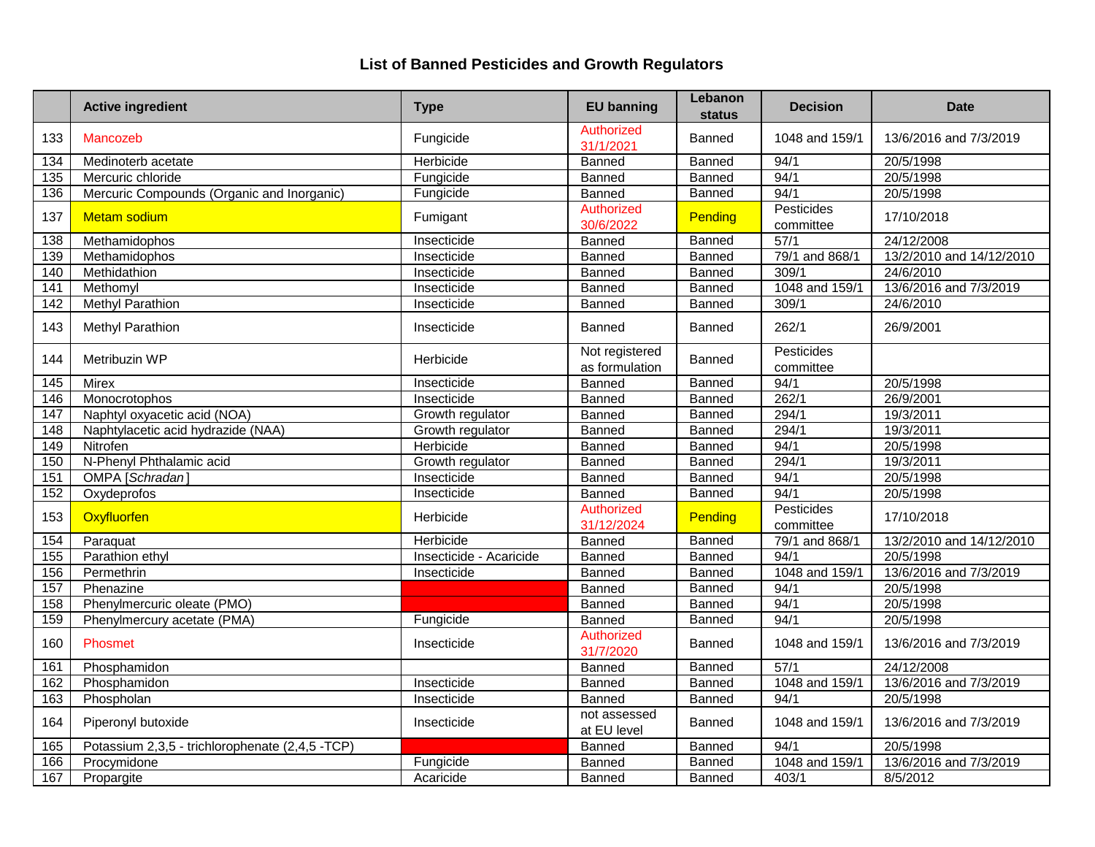|                  | <b>Active ingredient</b>                        | <b>Type</b>             | <b>EU banning</b>                | Lebanon<br>status | <b>Decision</b>                | <b>Date</b>              |
|------------------|-------------------------------------------------|-------------------------|----------------------------------|-------------------|--------------------------------|--------------------------|
| 133              | Mancozeb                                        | Fungicide               | <b>Authorized</b><br>31/1/2021   | Banned            | 1048 and 159/1                 | 13/6/2016 and 7/3/2019   |
| 134              | Medinoterb acetate                              | Herbicide               | Banned                           | Banned            | 94/1                           | 20/5/1998                |
| $\overline{135}$ | Mercuric chloride                               | Fungicide               | Banned                           | Banned            | 94/1                           | 20/5/1998                |
| 136              | Mercuric Compounds (Organic and Inorganic)      | Fungicide               | Banned                           | Banned            | 94/1                           | 20/5/1998                |
| 137              | <b>Metam sodium</b>                             | Fumigant                | Authorized<br>30/6/2022          | Pending           | Pesticides<br>committee        | 17/10/2018               |
| 138              | Methamidophos                                   | Insecticide             | Banned                           | Banned            | 57/1                           | 24/12/2008               |
| 139              | Methamidophos                                   | Insecticide             | <b>Banned</b>                    | Banned            | 79/1 and 868/1                 | 13/2/2010 and 14/12/2010 |
| 140              | Methidathion                                    | Insecticide             | Banned                           | Banned            | 309/1                          | 24/6/2010                |
| 141              | Methomyl                                        | Insecticide             | Banned                           | <b>Banned</b>     | 1048 and 159/1                 | 13/6/2016 and 7/3/2019   |
| 142              | <b>Methyl Parathion</b>                         | Insecticide             | Banned                           | Banned            | 309/1                          | 24/6/2010                |
| 143              | Methyl Parathion                                | Insecticide             | Banned                           | Banned            | 262/1                          | 26/9/2001                |
| 144              | Metribuzin WP                                   | Herbicide               | Not registered<br>as formulation | Banned            | <b>Pesticides</b><br>committee |                          |
| 145              | <b>Mirex</b>                                    | Insecticide             | <b>Banned</b>                    | Banned            | 94/1                           | 20/5/1998                |
| 146              | Monocrotophos                                   | Insecticide             | Banned                           | Banned            | 262/1                          | 26/9/2001                |
| 147              | Naphtyl oxyacetic acid (NOA)                    | Growth regulator        | Banned                           | Banned            | 294/1                          | 19/3/2011                |
| 148              | Naphtylacetic acid hydrazide (NAA)              | Growth regulator        | <b>Banned</b>                    | Banned            | 294/1                          | 19/3/2011                |
| 149              | Nitrofen                                        | Herbicide               | <b>Banned</b>                    | Banned            | 94/1                           | 20/5/1998                |
| 150              | N-Phenyl Phthalamic acid                        | Growth regulator        | Banned                           | Banned            | 294/1                          | 19/3/2011                |
| 151              | OMPA [Schradan]                                 | Insecticide             | Banned                           | Banned            | 94/1                           | 20/5/1998                |
| 152              | Oxydeprofos                                     | Insecticide             | Banned                           | Banned            | 94/1                           | 20/5/1998                |
| 153              | Oxyfluorfen                                     | Herbicide               | Authorized<br>31/12/2024         | Pending           | Pesticides<br>committee        | 17/10/2018               |
| 154              | Paraquat                                        | Herbicide               | Banned                           | Banned            | 79/1 and 868/1                 | 13/2/2010 and 14/12/2010 |
| 155              | Parathion ethyl                                 | Insecticide - Acaricide | Banned                           | Banned            | 94/1                           | 20/5/1998                |
| 156              | Permethrin                                      | Insecticide             | <b>Banned</b>                    | Banned            | 1048 and 159/1                 | 13/6/2016 and 7/3/2019   |
| 157              | Phenazine                                       |                         | <b>Banned</b>                    | <b>Banned</b>     | 94/1                           | 20/5/1998                |
| 158              | Phenylmercuric oleate (PMO)                     |                         | Banned                           | Banned            | 94/1                           | 20/5/1998                |
| 159              | Phenylmercury acetate (PMA)                     | Fungicide               | Banned                           | Banned            | 94/1                           | 20/5/1998                |
| 160              | Phosmet                                         | Insecticide             | Authorized<br>31/7/2020          | Banned            | 1048 and 159/1                 | 13/6/2016 and 7/3/2019   |
| 161              | Phosphamidon                                    |                         | Banned                           | Banned            | 57/1                           | 24/12/2008               |
| 162              | Phosphamidon                                    | Insecticide             | Banned                           | Banned            | 1048 and 159/1                 | 13/6/2016 and 7/3/2019   |
| 163              | Phospholan                                      | Insecticide             | Banned                           | Banned            | 94/1                           | 20/5/1998                |
| 164              | Piperonyl butoxide                              | Insecticide             | not assessed<br>at EU level      | Banned            | 1048 and 159/1                 | 13/6/2016 and 7/3/2019   |
| 165              | Potassium 2,3,5 - trichlorophenate (2,4,5 -TCP) |                         | Banned                           | Banned            | 94/1                           | 20/5/1998                |
| 166              | Procymidone                                     | Fungicide               | Banned                           | Banned            | 1048 and 159/1                 | 13/6/2016 and 7/3/2019   |
| 167              | Propargite                                      | Acaricide               | Banned                           | Banned            | 403/1                          | 8/5/2012                 |